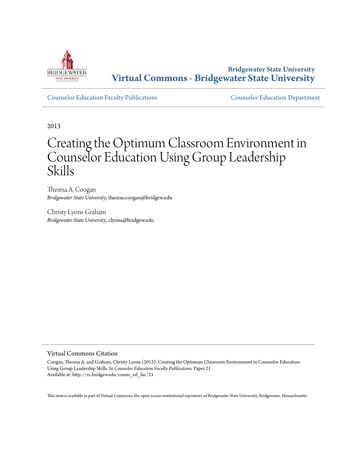

**Bridgewater State University [Virtual Commons - Bridgewater State University](http://vc.bridgew.edu)**

[Counselor Education Faculty Publications](http://vc.bridgew.edu/couns_ed_fac) [Counselor Education Department](http://vc.bridgew.edu/couns_ed)

2013

# Creating the Optimum Classroom Environment in Counselor Education Using Group Leadership Skills

Theresa A. Coogan *Bridgewater State University*, theresa.coogan@bridgew.edu

Christy Lyons Graham *Bridgewater State University*, clyons@bridgew.edu

#### Virtual Commons Citation

Coogan, Theresa A. and Graham, Christy Lyons (2013). Creating the Optimum Classroom Environment in Counselor Education Using Group Leadership Skills. In *Counselor Education Faculty Publications.* Paper 21. Available at: http://vc.bridgew.edu/couns\_ed\_fac/21

This item is available as part of Virtual Commons, the open-access institutional repository of Bridgewater State University, Bridgewater, Massachusetts.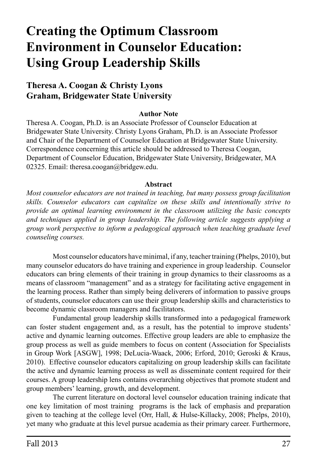## **Creating the Optimum Classroom Environment in Counselor Education: Using Group Leadership Skills**

### **Theresa A. Coogan & Christy Lyons Graham, Bridgewater State University**

#### **Author Note**

Theresa A. Coogan, Ph.D. is an Associate Professor of Counselor Education at Bridgewater State University. Christy Lyons Graham, Ph.D. is an Associate Professor and Chair of the Department of Counselor Education at Bridgewater State University. Correspondence concerning this article should be addressed to Theresa Coogan, Department of Counselor Education, Bridgewater State University, Bridgewater, MA 02325. Email: theresa.coogan@bridgew.edu.

#### **Abstract**

*Most counselor educators are not trained in teaching, but many possess group facilitation skills. Counselor educators can capitalize on these skills and intentionally strive to provide an optimal learning environment in the classroom utilizing the basic concepts and techniques applied in group leadership. The following article suggests applying a group work perspective to inform a pedagogical approach when teaching graduate level counseling courses.*

Most counselor educators have minimal, if any, teacher training (Phelps, 2010), but many counselor educators do have training and experience in group leadership. Counselor educators can bring elements of their training in group dynamics to their classrooms as a means of classroom "management" and as a strategy for facilitating active engagement in the learning process. Rather than simply being deliverers of information to passive groups of students, counselor educators can use their group leadership skills and characteristics to become dynamic classroom managers and facilitators.

Fundamental group leadership skills transformed into a pedagogical framework can foster student engagement and, as a result, has the potential to improve students' active and dynamic learning outcomes. Effective group leaders are able to emphasize the group process as well as guide members to focus on content (Association for Specialists in Group Work [ASGW], 1998; DeLucia-Waack, 2006; Erford, 2010; Geroski & Kraus, 2010). Effective counselor educators capitalizing on group leadership skills can facilitate the active and dynamic learning process as well as disseminate content required for their courses. A group leadership lens contains overarching objectives that promote student and group members' learning, growth, and development.

The current literature on doctoral level counselor education training indicate that one key limitation of most training programs is the lack of emphasis and preparation given to teaching at the college level (Orr, Hall, & Hulse-Killacky, 2008; Phelps, 2010), yet many who graduate at this level pursue academia as their primary career. Furthermore,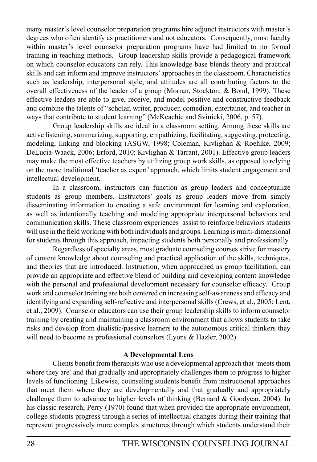many master's level counselor preparation programs hire adjunct instructors with master's degrees who often identify as practitioners and not educators. Consequently, most faculty within master's level counselor preparation programs have had limited to no formal training in teaching methods. Group leadership skills provide a pedagogical framework on which counselor educators can rely. This knowledge base blends theory and practical skills and can inform and improve instructors' approaches in the classroom. Characteristics such as leadership, interpersonal style, and attitudes are all contributing factors to the overall effectiveness of the leader of a group (Morran, Stockton, & Bond, 1999). These effective leaders are able to give, receive, and model positive and constructive feedback and combine the talents of "scholar, writer, producer, comedian, entertainer, and teacher in ways that contribute to student learning" (McKeachie and Svinicki, 2006, p. 57).

Group leadership skills are ideal in a classroom setting. Among these skills are active listening, summarizing, supporting, empathizing, facilitating, suggesting, protecting, modeling, linking and blocking (ASGW, 1998; Coleman, Kivlighan & Roehlke, 2009; DeLucia-Waack, 2006; Erford, 2010; Kivlighan & Tarrant, 2001). Effective group leaders may make the most effective teachers by utilizing group work skills, as opposed to relying on the more traditional 'teacher as expert' approach, which limits student engagement and intellectual development.

In a classroom, instructors can function as group leaders and conceptualize students as group members. Instructors' goals as group leaders move from simply disseminating information to creating a safe environment for learning and exploration, as well as intentionally teaching and modeling appropriate interpersonal behaviors and communication skills. These classroom experiences assist to reinforce behaviors students will use in the field working with both individuals and groups. Learning is multi-dimensional for students through this approach, impacting students both personally and professionally.

Regardless of specialty areas, most graduate counseling courses strive for mastery of content knowledge about counseling and practical application of the skills, techniques, and theories that are introduced. Instruction, when approached as group facilitation, can provide an appropriate and effective blend of building and developing content knowledge with the personal and professional development necessary for counselor efficacy. Group work and counselor training are both centered on increasing self-awareness and efficacy and identifying and expanding self-reflective and interpersonal skills (Crews, et al., 2005; Lent, et al., 2009). Counselor educators can use their group leadership skills to inform counselor training by creating and maintaining a classroom environment that allows students to take risks and develop from dualistic/passive learners to the autonomous critical thinkers they will need to become as professional counselors (Lyons & Hazler, 2002).

#### **A Developmental Lens**

Clients benefit from therapists who use a developmental approach that 'meets them where they are' and that gradually and appropriately challenges them to progress to higher levels of functioning. Likewise, counseling students benefit from instructional approaches that meet them where they are developmentally and that gradually and appropriately challenge them to advance to higher levels of thinking (Bernard  $&$  Goodyear, 2004). In his classic research, Perry (1970) found that when provided the appropriate environment, college students progress through a series of intellectual changes during their training that represent progressively more complex structures through which students understand their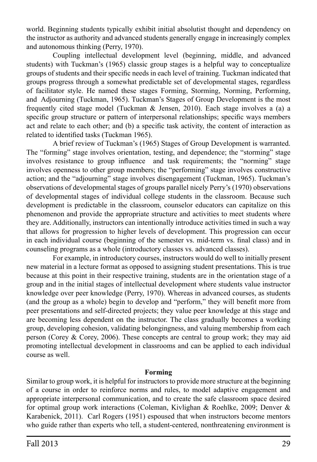world. Beginning students typically exhibit initial absolutist thought and dependency on the instructor as authority and advanced students generally engage in increasingly complex and autonomous thinking (Perry, 1970).

Coupling intellectual development level (beginning, middle, and advanced students) with Tuckman's (1965) classic group stages is a helpful way to conceptualize groups of students and their specific needs in each level of training. Tuckman indicated that groups progress through a somewhat predictable set of developmental stages, regardless of facilitator style. He named these stages Forming, Storming, Norming, Performing, and Adjourning (Tuckman, 1965). Tuckman's Stages of Group Development is the most frequently cited stage model (Tuckman & Jensen, 2010). Each stage involves a (a) a specific group structure or pattern of interpersonal relationships; specific ways members act and relate to each other; and (b) a specific task activity, the content of interaction as related to identified tasks (Tuckman 1965).

A brief review of Tuckman's (1965) Stages of Group Development is warranted. The "forming" stage involves orientation, testing, and dependence; the "storming" stage involves resistance to group influence and task requirements; the "norming" stage involves openness to other group members; the "performing" stage involves constructive action; and the "adjourning" stage involves disengagement (Tuckman, 1965). Tuckman's observations of developmental stages of groups parallel nicely Perry's (1970) observations of developmental stages of individual college students in the classroom. Because such development is predictable in the classroom, counselor educators can capitalize on this phenomenon and provide the appropriate structure and activities to meet students where they are. Additionally, instructors can intentionally introduce activities timed in such a way that allows for progression to higher levels of development. This progression can occur in each individual course (beginning of the semester vs. mid-term vs. final class) and in counseling programs as a whole (introductory classes vs. advanced classes).

For example, in introductory courses, instructors would do well to initially present new material in a lecture format as opposed to assigning student presentations. This is true because at this point in their respective training, students are in the orientation stage of a group and in the initial stages of intellectual development where students value instructor knowledge over peer knowledge (Perry, 1970). Whereas in advanced courses, as students (and the group as a whole) begin to develop and "perform," they will benefit more from peer presentations and self-directed projects; they value peer knowledge at this stage and are becoming less dependent on the instructor. The class gradually becomes a working group, developing cohesion, validating belongingness, and valuing membership from each person (Corey & Corey, 2006). These concepts are central to group work; they may aid promoting intellectual development in classrooms and can be applied to each individual course as well.

#### **Forming**

Similar to group work, it is helpful for instructors to provide more structure at the beginning of a course in order to reinforce norms and rules, to model adaptive engagement and appropriate interpersonal communication, and to create the safe classroom space desired for optimal group work interactions (Coleman, Kivlighan & Roehlke, 2009; Denver & Karabenick, 2011). Carl Rogers (1951) espoused that when instructors become mentors who guide rather than experts who tell, a student-centered, nonthreatening environment is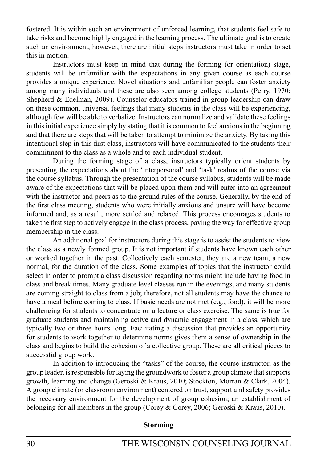fostered. It is within such an environment of unforced learning, that students feel safe to take risks and become highly engaged in the learning process. The ultimate goal is to create such an environment, however, there are initial steps instructors must take in order to set this in motion.

Instructors must keep in mind that during the forming (or orientation) stage, students will be unfamiliar with the expectations in any given course as each course provides a unique experience. Novel situations and unfamiliar people can foster anxiety among many individuals and these are also seen among college students (Perry, 1970; Shepherd & Edelman, 2009). Counselor educators trained in group leadership can draw on these common, universal feelings that many students in the class will be experiencing, although few will be able to verbalize. Instructors can normalize and validate these feelings in this initial experience simply by stating that it is common to feel anxious in the beginning and that there are steps that will be taken to attempt to minimize the anxiety. By taking this intentional step in this first class, instructors will have communicated to the students their commitment to the class as a whole and to each individual student.

During the forming stage of a class, instructors typically orient students by presenting the expectations about the 'interpersonal' and 'task' realms of the course via the course syllabus. Through the presentation of the course syllabus, students will be made aware of the expectations that will be placed upon them and will enter into an agreement with the instructor and peers as to the ground rules of the course. Generally, by the end of the first class meeting, students who were initially anxious and unsure will have become informed and, as a result, more settled and relaxed. This process encourages students to take the first step to actively engage in the class process, paving the way for effective group membership in the class.

An additional goal for instructors during this stage is to assist the students to view the class as a newly formed group. It is not important if students have known each other or worked together in the past. Collectively each semester, they are a new team, a new normal, for the duration of the class. Some examples of topics that the instructor could select in order to prompt a class discussion regarding norms might include having food in class and break times. Many graduate level classes run in the evenings, and many students are coming straight to class from a job; therefore, not all students may have the chance to have a meal before coming to class. If basic needs are not met (e.g., food), it will be more challenging for students to concentrate on a lecture or class exercise. The same is true for graduate students and maintaining active and dynamic engagement in a class, which are typically two or three hours long. Facilitating a discussion that provides an opportunity for students to work together to determine norms gives them a sense of ownership in the class and begins to build the cohesion of a collective group. These are all critical pieces to successful group work.

In addition to introducing the "tasks" of the course, the course instructor, as the group leader, is responsible for laying the groundwork to foster a group climate that supports growth, learning and change (Geroski & Kraus, 2010; Stockton, Morran & Clark, 2004). A group climate (or classroom environment) centered on trust, support and safety provides the necessary environment for the development of group cohesion; an establishment of belonging for all members in the group (Corey & Corey, 2006; Geroski & Kraus, 2010).

#### **Storming**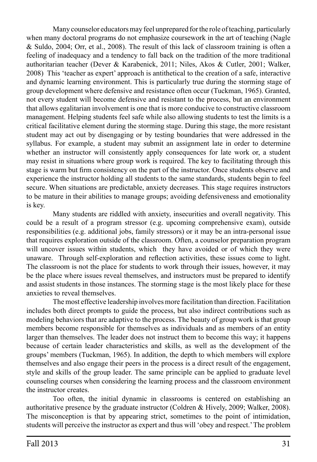Many counselor educators may feel unprepared for the role of teaching, particularly when many doctoral programs do not emphasize coursework in the art of teaching (Nagle & Suldo, 2004; Orr, et al., 2008). The result of this lack of classroom training is often a feeling of inadequacy and a tendency to fall back on the tradition of the more traditional authoritarian teacher (Dever & Karabenick, 2011; Niles, Akos & Cutler, 2001; Walker, 2008) This 'teacher as expert' approach is antithetical to the creation of a safe, interactive and dynamic learning environment. This is particularly true during the storming stage of group development where defensive and resistance often occur (Tuckman, 1965). Granted, not every student will become defensive and resistant to the process, but an environment that allows egalitarian involvement is one that is more conducive to constructive classroom management. Helping students feel safe while also allowing students to test the limits is a critical facilitative element during the storming stage. During this stage, the more resistant student may act out by disengaging or by testing boundaries that were addressed in the syllabus. For example, a student may submit an assignment late in order to determine whether an instructor will consistently apply consequences for late work or, a student may resist in situations where group work is required. The key to facilitating through this stage is warm but firm consistency on the part of the instructor. Once students observe and experience the instructor holding all students to the same standards, students begin to feel secure. When situations are predictable, anxiety decreases. This stage requires instructors to be mature in their abilities to manage groups; avoiding defensiveness and emotionality is key.

Many students are riddled with anxiety, insecurities and overall negativity. This could be a result of a program stressor (e.g. upcoming comprehensive exam), outside responsibilities (e.g. additional jobs, family stressors) or it may be an intra-personal issue that requires exploration outside of the classroom. Often, a counselor preparation program will uncover issues within students, which they have avoided or of which they were unaware. Through self-exploration and reflection activities, these issues come to light. The classroom is not the place for students to work through their issues, however, it may be the place where issues reveal themselves, and instructors must be prepared to identify and assist students in those instances. The storming stage is the most likely place for these anxieties to reveal themselves.

The most effective leadership involves more facilitation than direction. Facilitation includes both direct prompts to guide the process, but also indirect contributions such as modeling behaviors that are adaptive to the process. The beauty of group work is that group members become responsible for themselves as individuals and as members of an entity larger than themselves. The leader does not instruct them to become this way; it happens because of certain leader characteristics and skills, as well as the development of the groups' members (Tuckman, 1965). In addition, the depth to which members will explore themselves and also engage their peers in the process is a direct result of the engagement, style and skills of the group leader. The same principle can be applied to graduate level counseling courses when considering the learning process and the classroom environment the instructor creates.

Too often, the initial dynamic in classrooms is centered on establishing an authoritative presence by the graduate instructor (Coldren & Hively, 2009; Walker, 2008). The misconception is that by appearing strict, sometimes to the point of intimidation, students will perceive the instructor as expert and thus will 'obey and respect.' The problem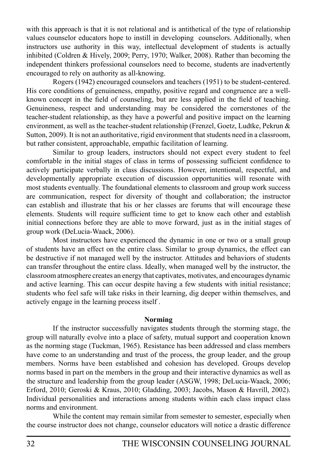with this approach is that it is not relational and is antithetical of the type of relationship values counselor educators hope to instill in developing counselors. Additionally, when instructors use authority in this way, intellectual development of students is actually inhibited (Coldren & Hively, 2009; Perry, 1970; Walker, 2008). Rather than becoming the independent thinkers professional counselors need to become, students are inadvertently encouraged to rely on authority as all-knowing.

Rogers (1942) encouraged counselors and teachers (1951) to be student-centered. His core conditions of genuineness, empathy, positive regard and congruence are a wellknown concept in the field of counseling, but are less applied in the field of teaching. Genuineness, respect and understanding may be considered the cornerstones of the teacher-student relationship, as they have a powerful and positive impact on the learning environment, as well as the teacher-student relationship (Frenzel, Goetz, Ludtke, Pekrun  $\&$ Sutton, 2009). It is not an authoritative, rigid environment that students need in a classroom, but rather consistent, approachable, empathic facilitation of learning.

Similar to group leaders, instructors should not expect every student to feel comfortable in the initial stages of class in terms of possessing sufficient confidence to actively participate verbally in class discussions. However, intentional, respectful, and developmentally appropriate execution of discussion opportunities will resonate with most students eventually. The foundational elements to classroom and group work success are communication, respect for diversity of thought and collaboration; the instructor can establish and illustrate that his or her classes are forums that will encourage these elements. Students will require sufficient time to get to know each other and establish initial connections before they are able to move forward, just as in the initial stages of group work (DeLucia-Waack, 2006).

Most instructors have experienced the dynamic in one or two or a small group of students have an effect on the entire class. Similar to group dynamics, the effect can be destructive if not managed well by the instructor. Attitudes and behaviors of students can transfer throughout the entire class. Ideally, when managed well by the instructor, the classroom atmosphere creates an energy that captivates, motivates, and encourages dynamic and active learning. This can occur despite having a few students with initial resistance; students who feel safe will take risks in their learning, dig deeper within themselves, and actively engage in the learning process itself .

#### **Norming**

If the instructor successfully navigates students through the storming stage, the group will naturally evolve into a place of safety, mutual support and cooperation known as the norming stage (Tuckman, 1965). Resistance has been addressed and class members have come to an understanding and trust of the process, the group leader, and the group members. Norms have been established and cohesion has developed. Groups develop norms based in part on the members in the group and their interactive dynamics as well as the structure and leadership from the group leader (ASGW, 1998; DeLucia-Waack, 2006; Erford, 2010; Geroski & Kraus, 2010; Gladding, 2003; Jacobs, Mason & Havrill, 2002). Individual personalities and interactions among students within each class impact class norms and environment.

While the content may remain similar from semester to semester, especially when the course instructor does not change, counselor educators will notice a drastic difference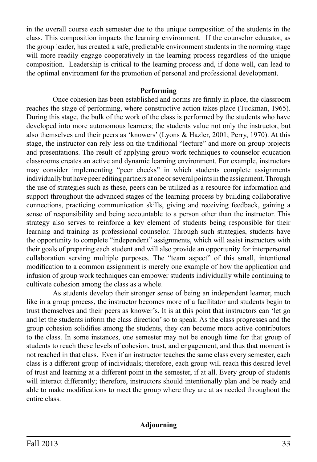in the overall course each semester due to the unique composition of the students in the class. This composition impacts the learning environment. If the counselor educator, as the group leader, has created a safe, predictable environment students in the norming stage will more readily engage cooperatively in the learning process regardless of the unique composition. Leadership is critical to the learning process and, if done well, can lead to the optimal environment for the promotion of personal and professional development.

#### **Performing**

Once cohesion has been established and norms are firmly in place, the classroom reaches the stage of performing, where constructive action takes place (Tuckman, 1965). During this stage, the bulk of the work of the class is performed by the students who have developed into more autonomous learners; the students value not only the instructor, but also themselves and their peers as 'knowers' (Lyons & Hazler, 2001; Perry, 1970). At this stage, the instructor can rely less on the traditional "lecture" and more on group projects and presentations. The result of applying group work techniques to counselor education classrooms creates an active and dynamic learning environment. For example, instructors may consider implementing "peer checks" in which students complete assignments individually but have peer editing partners at one or several points in the assignment. Through the use of strategies such as these, peers can be utilized as a resource for information and support throughout the advanced stages of the learning process by building collaborative connections, practicing communication skills, giving and receiving feedback, gaining a sense of responsibility and being accountable to a person other than the instructor. This strategy also serves to reinforce a key element of students being responsible for their learning and training as professional counselor. Through such strategies, students have the opportunity to complete "independent" assignments, which will assist instructors with their goals of preparing each student and will also provide an opportunity for interpersonal collaboration serving multiple purposes. The "team aspect" of this small, intentional modification to a common assignment is merely one example of how the application and infusion of group work techniques can empower students individually while continuing to cultivate cohesion among the class as a whole.

As students develop their stronger sense of being an independent learner, much like in a group process, the instructor becomes more of a facilitator and students begin to trust themselves and their peers as knower's. It is at this point that instructors can 'let go and let the students inform the class direction' so to speak. As the class progresses and the group cohesion solidifies among the students, they can become more active contributors to the class. In some instances, one semester may not be enough time for that group of students to reach these levels of cohesion, trust, and engagement, and thus that moment is not reached in that class. Even if an instructor teaches the same class every semester, each class is a different group of individuals; therefore, each group will reach this desired level of trust and learning at a different point in the semester, if at all. Every group of students will interact differently; therefore, instructors should intentionally plan and be ready and able to make modifications to meet the group where they are at as needed throughout the entire class.

#### **Adjourning**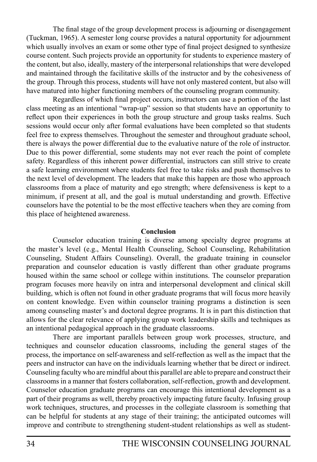The final stage of the group development process is adjourning or disengagement (Tuckman, 1965). A semester long course provides a natural opportunity for adjournment which usually involves an exam or some other type of final project designed to synthesize course content. Such projects provide an opportunity for students to experience mastery of the content, but also, ideally, mastery of the interpersonal relationships that were developed and maintained through the facilitative skills of the instructor and by the cohesiveness of the group. Through this process, students will have not only mastered content, but also will have matured into higher functioning members of the counseling program community.

Regardless of which final project occurs, instructors can use a portion of the last class meeting as an intentional "wrap-up" session so that students have an opportunity to reflect upon their experiences in both the group structure and group tasks realms. Such sessions would occur only after formal evaluations have been completed so that students feel free to express themselves. Throughout the semester and throughout graduate school, there is always the power differential due to the evaluative nature of the role of instructor. Due to this power differential, some students may not ever reach the point of complete safety. Regardless of this inherent power differential, instructors can still strive to create a safe learning environment where students feel free to take risks and push themselves to the next level of development. The leaders that make this happen are those who approach classrooms from a place of maturity and ego strength; where defensiveness is kept to a minimum, if present at all, and the goal is mutual understanding and growth. Effective counselors have the potential to be the most effective teachers when they are coming from this place of heightened awareness.

#### **Conclusion**

Counselor education training is diverse among specialty degree programs at the master's level (e.g., Mental Health Counseling, School Counseling, Rehabilitation Counseling, Student Affairs Counseling). Overall, the graduate training in counselor preparation and counselor education is vastly different than other graduate programs housed within the same school or college within institutions. The counselor preparation program focuses more heavily on intra and interpersonal development and clinical skill building, which is often not found in other graduate programs that will focus more heavily on content knowledge. Even within counselor training programs a distinction is seen among counseling master's and doctoral degree programs. It is in part this distinction that allows for the clear relevance of applying group work leadership skills and techniques as an intentional pedagogical approach in the graduate classrooms.

There are important parallels between group work processes, structure, and techniques and counselor education classrooms, including the general stages of the process, the importance on self-awareness and self-reflection as well as the impact that the peers and instructor can have on the individuals learning whether that be direct or indirect. Counseling faculty who are mindful about this parallel are able to prepare and construct their classrooms in a manner that fosters collaboration, self-reflection, growth and development. Counselor education graduate programs can encourage this intentional development as a part of their programs as well, thereby proactively impacting future faculty. Infusing group work techniques, structures, and processes in the collegiate classroom is something that can be helpful for students at any stage of their training; the anticipated outcomes will improve and contribute to strengthening student-student relationships as well as student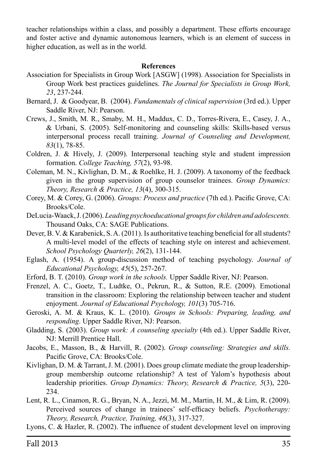teacher relationships within a class, and possibly a department. These efforts encourage and foster active and dynamic autonomous learners, which is an element of success in higher education, as well as in the world.

#### **References**

- Association for Specialists in Group Work [ASGW] (1998). Association for Specialists in Group Work best practices guidelines. *The Journal for Specialists in Group Work, 23*, 237-244.
- Bernard, J. & Goodyear, B. (2004). *Fundamentals of clinical supervision* (3rd ed.). Upper Saddle River, NJ: Pearson.
- Crews, J., Smith, M. R., Smaby, M. H., Maddux, C. D., Torres-Rivera, E., Casey, J. A., & Urbani, S. (2005). Self-monitoring and counseling skills: Skills-based versus interpersonal process recall training. *Journal of Counseling and Development, 83*(1), 78-85.
- Coldren, J. & Hively, J. (2009). Interpersonal teaching style and student impression formation. *College Teaching, 57*(2), 93-98.
- Coleman, M. N., Kivlighan, D. M., & Roehlke, H. J. (2009). A taxonomy of the feedback given in the group supervision of group counselor trainees. *Group Dynamics: Theory, Research & Practice, 13*(4), 300-315.
- Corey, M. & Corey, G. (2006). *Groups: Process and practice* (7th ed.). Pacific Grove, CA: Brooks/Cole.
- DeLucia-Waack, J. (2006). *Leading psychoeducational groups for children and adolescents.* Thousand Oaks, CA: SAGE Publications.
- Dever, B. V. & Karabenick, S. A. (2011). Is authoritative teaching beneficial for all students? A multi-level model of the effects of teaching style on interest and achievement. *School Psychology Quarterly, 26*(2), 131-144.
- Eglash, A. (1954). A group-discussion method of teaching psychology. *Journal of Educational Psychology, 45*(5), 257-267.
- Erford, B. T. (2010). *Group work in the schools.* Upper Saddle River, NJ: Pearson.

Frenzel, A. C., Goetz, T., Ludtke, O., Pekrun, R., & Sutton, R.E. (2009). Emotional transition in the classroom: Exploring the relationship between teacher and student enjoyment. *Journal of Educational Psychology, 101*(3) 705-716.

Geroski, A. M. & Kraus, K. L. (2010). *Groups in Schools: Preparing, leading, and responding*. Upper Saddle River, NJ: Pearson.

- Gladding, S. (2003). *Group work: A counseling specialty* (4th ed.). Upper Saddle River, NJ: Merrill Prentice Hall.
- Jacobs, E., Masson, B., & Harvill, R. (2002). *Group counseling: Strategies and skills.*  Pacific Grove, CA: Brooks/Cole.
- Kivlighan, D. M. & Tarrant, J. M. (2001). Does group climate mediate the group leadershipgroup membership outcome relationship? A test of Yalom's hypothesis about leadership priorities. *Group Dynamics: Theory, Research & Practice, 5*(3), 220- 234.
- Lent, R. L., Cinamon, R. G., Bryan, N. A., Jezzi, M. M., Martin, H. M., & Lim, R. (2009). Perceived sources of change in trainees' self-efficacy beliefs. *Psychotherapy: Theory, Research, Practice, Training, 46*(3), 317-327.
- Lyons, C. & Hazler, R. (2002). The influence of student development level on improving